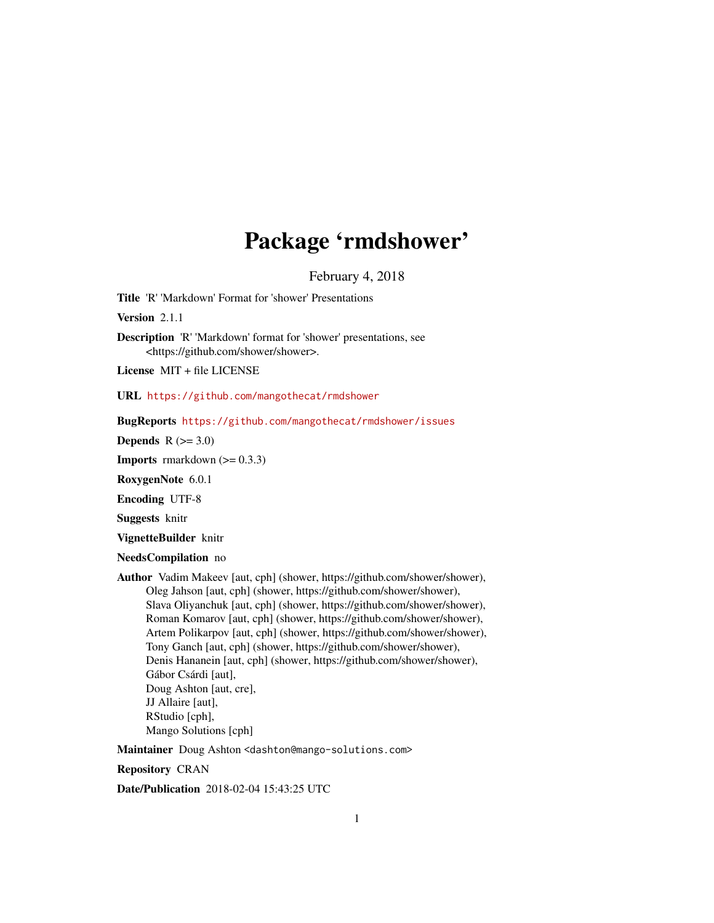## Package 'rmdshower'

February 4, 2018

<span id="page-0-0"></span>Title 'R' 'Markdown' Format for 'shower' Presentations

Version 2.1.1

Description 'R' 'Markdown' format for 'shower' presentations, see <https://github.com/shower/shower>.

License MIT + file LICENSE

URL <https://github.com/mangothecat/rmdshower>

BugReports <https://github.com/mangothecat/rmdshower/issues>

Depends  $R$  ( $>= 3.0$ )

**Imports** rmarkdown  $(>= 0.3.3)$ 

RoxygenNote 6.0.1

Encoding UTF-8

Suggests knitr

VignetteBuilder knitr

NeedsCompilation no

Author Vadim Makeev [aut, cph] (shower, https://github.com/shower/shower), Oleg Jahson [aut, cph] (shower, https://github.com/shower/shower), Slava Oliyanchuk [aut, cph] (shower, https://github.com/shower/shower), Roman Komarov [aut, cph] (shower, https://github.com/shower/shower), Artem Polikarpov [aut, cph] (shower, https://github.com/shower/shower), Tony Ganch [aut, cph] (shower, https://github.com/shower/shower), Denis Hananein [aut, cph] (shower, https://github.com/shower/shower), Gábor Csárdi [aut], Doug Ashton [aut, cre], JJ Allaire [aut], RStudio [cph], Mango Solutions [cph]

Maintainer Doug Ashton <dashton@mango-solutions.com>

Repository CRAN

Date/Publication 2018-02-04 15:43:25 UTC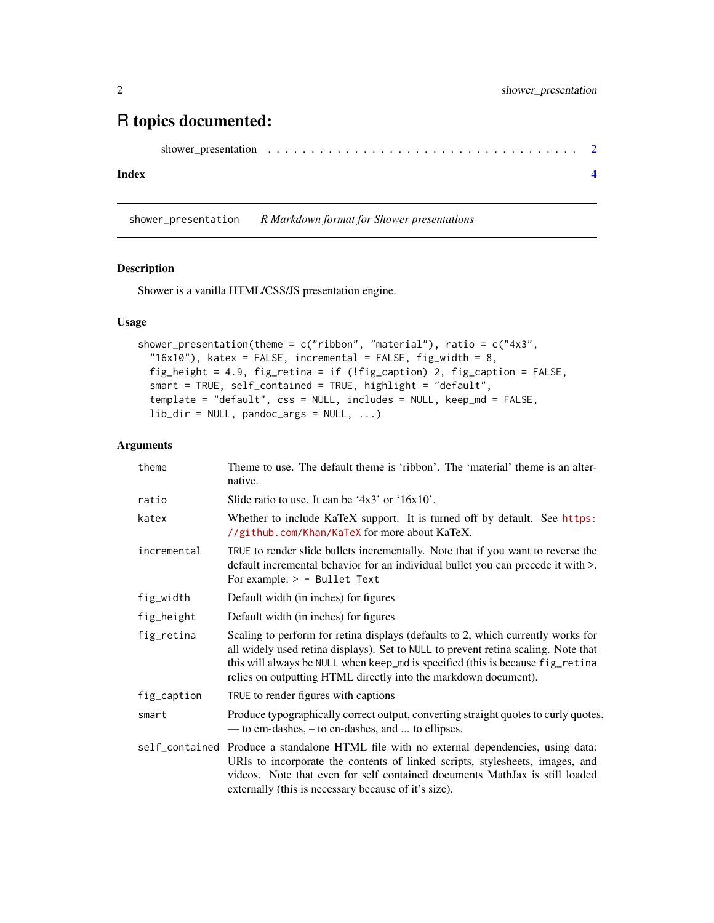### <span id="page-1-0"></span>R topics documented:

```
shower_presentation . . . . . . . . . . . . . . . . . . . . . . . . . . . . . . . . . . . . 2
```
#### **Index** [4](#page-3-0)

shower\_presentation *R Markdown format for Shower presentations*

#### Description

Shower is a vanilla HTML/CSS/JS presentation engine.

#### Usage

```
shower_presentation(theme = c("ribbon", "material"), ratio = c("4x3","16x10"), katex = FALSE, incremental = FALSE, fig_width = 8,
fig_height = 4.9, fig_retina = if (!fig_caption) 2, fig_caption = FALSE,
smart = TRUE, self_contained = TRUE, highlight = "default",
template = "default", css = NULL, includes = NULL, keep_md = FALSE,
lib\_dir = NULL, pandoc_args = NULL, ...)
```
#### Arguments

| theme       | Theme to use. The default theme is 'ribbon'. The 'material' theme is an alter-<br>native.                                                                                                                                                                                                                                   |
|-------------|-----------------------------------------------------------------------------------------------------------------------------------------------------------------------------------------------------------------------------------------------------------------------------------------------------------------------------|
| ratio       | Slide ratio to use. It can be '4x3' or '16x10'.                                                                                                                                                                                                                                                                             |
| katex       | Whether to include KaTeX support. It is turned off by default. See https:<br>//github.com/Khan/KaTeX for more about KaTeX.                                                                                                                                                                                                  |
| incremental | TRUE to render slide bullets incrementally. Note that if you want to reverse the<br>default incremental behavior for an individual bullet you can precede it with >.<br>For example: $> -$ Bullet Text                                                                                                                      |
| fig_width   | Default width (in inches) for figures                                                                                                                                                                                                                                                                                       |
| fig_height  | Default width (in inches) for figures                                                                                                                                                                                                                                                                                       |
| fig_retina  | Scaling to perform for retina displays (defaults to 2, which currently works for<br>all widely used retina displays). Set to NULL to prevent retina scaling. Note that<br>this will always be NULL when keep_md is specified (this is because fig_retina<br>relies on outputting HTML directly into the markdown document). |
| fig_caption | TRUE to render figures with captions                                                                                                                                                                                                                                                                                        |
| smart       | Produce typographically correct output, converting straight quotes to curly quotes,<br>— to em-dashes, – to en-dashes, and  to ellipses.                                                                                                                                                                                    |
|             | self_contained Produce a standalone HTML file with no external dependencies, using data:<br>URIs to incorporate the contents of linked scripts, stylesheets, images, and<br>videos. Note that even for self contained documents MathJax is still loaded<br>externally (this is necessary because of it's size).             |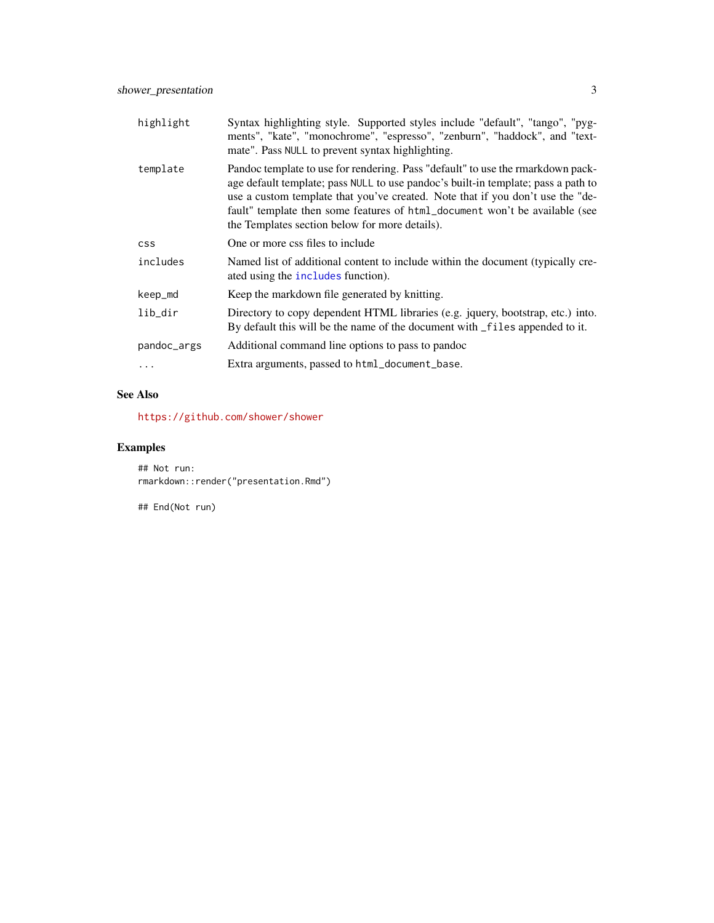<span id="page-2-0"></span>

| highlight   | Syntax highlighting style. Supported styles include "default", "tango", "pyg-<br>ments", "kate", "monochrome", "espresso", "zenburn", "haddock", and "text-<br>mate". Pass NULL to prevent syntax highlighting.                                                                                                                                                                         |
|-------------|-----------------------------------------------------------------------------------------------------------------------------------------------------------------------------------------------------------------------------------------------------------------------------------------------------------------------------------------------------------------------------------------|
| template    | Pandoc template to use for rendering. Pass "default" to use the rmarkdown pack-<br>age default template; pass NULL to use pandoc's built-in template; pass a path to<br>use a custom template that you've created. Note that if you don't use the "de-<br>fault" template then some features of html_document won't be available (see<br>the Templates section below for more details). |
| <b>CSS</b>  | One or more css files to include                                                                                                                                                                                                                                                                                                                                                        |
| includes    | Named list of additional content to include within the document (typically cre-<br>ated using the includes function).                                                                                                                                                                                                                                                                   |
| keep_md     | Keep the markdown file generated by knitting.                                                                                                                                                                                                                                                                                                                                           |
| lib_dir     | Directory to copy dependent HTML libraries (e.g. jquery, bootstrap, etc.) into.<br>By default this will be the name of the document with _files appended to it.                                                                                                                                                                                                                         |
| pandoc_args | Additional command line options to pass to pandoc                                                                                                                                                                                                                                                                                                                                       |
| .           | Extra arguments, passed to html_document_base.                                                                                                                                                                                                                                                                                                                                          |
|             |                                                                                                                                                                                                                                                                                                                                                                                         |

#### See Also

<https://github.com/shower/shower>

#### Examples

## Not run: rmarkdown::render("presentation.Rmd")

## End(Not run)